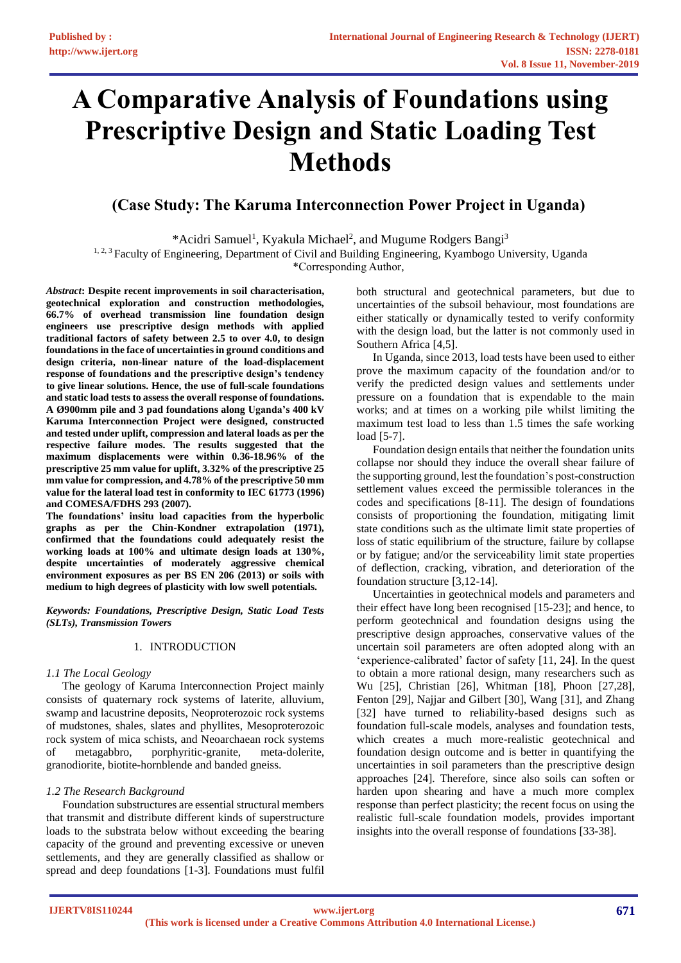# **A Comparative Analysis of Foundations using Prescriptive Design and Static Loading Test Methods**

# **(Case Study: The Karuma Interconnection Power Project in Uganda)**

\*Acidri Samuel<sup>1</sup>, Kyakula Michael<sup>2</sup>, and Mugume Rodgers Bangi<sup>3</sup> <sup>1, 2, 3</sup> Faculty of Engineering, Department of Civil and Building Engineering, Kyambogo University, Uganda

\*Corresponding Author,

*Abstract***: Despite recent improvements in soil characterisation, geotechnical exploration and construction methodologies, 66.7% of overhead transmission line foundation design engineers use prescriptive design methods with applied traditional factors of safety between 2.5 to over 4.0, to design foundations in the face of uncertainties in ground conditions and design criteria, non-linear nature of the load-displacement response of foundations and the prescriptive design's tendency to give linear solutions. Hence, the use of full-scale foundations and static load tests to assess the overall response of foundations. A Ø900mm pile and 3 pad foundations along Uganda's 400 kV Karuma Interconnection Project were designed, constructed and tested under uplift, compression and lateral loads as per the respective failure modes. The results suggested that the maximum displacements were within 0.36-18.96% of the prescriptive 25 mm value for uplift, 3.32% of the prescriptive 25 mm value for compression, and 4.78% of the prescriptive 50 mm value for the lateral load test in conformity to IEC 61773 (1996) and COMESA/FDHS 293 (2007).**

**The foundations' insitu load capacities from the hyperbolic graphs as per the Chin-Kondner extrapolation (1971), confirmed that the foundations could adequately resist the working loads at 100% and ultimate design loads at 130%, despite uncertainties of moderately aggressive chemical environment exposures as per BS EN 206 (2013) or soils with medium to high degrees of plasticity with low swell potentials.**

*Keywords: Foundations, Prescriptive Design, Static Load Tests (SLTs), Transmission Towers*

# 1. INTRODUCTION

# *1.1 The Local Geology*

The geology of Karuma Interconnection Project mainly consists of quaternary rock systems of laterite, alluvium, swamp and lacustrine deposits, Neoproterozoic rock systems of mudstones, shales, slates and phyllites, Mesoproterozoic rock system of mica schists, and Neoarchaean rock systems of metagabbro, porphyritic-granite, meta-dolerite, granodiorite, biotite-hornblende and banded gneiss.

# *1.2 The Research Background*

Foundation substructures are essential structural members that transmit and distribute different kinds of superstructure loads to the substrata below without exceeding the bearing capacity of the ground and preventing excessive or uneven settlements, and they are generally classified as shallow or spread and deep foundations [1-3]. Foundations must fulfil both structural and geotechnical parameters, but due to uncertainties of the subsoil behaviour, most foundations are either statically or dynamically tested to verify conformity with the design load, but the latter is not commonly used in Southern Africa [4,5].

In Uganda, since 2013, load tests have been used to either prove the maximum capacity of the foundation and/or to verify the predicted design values and settlements under pressure on a foundation that is expendable to the main works; and at times on a working pile whilst limiting the maximum test load to less than 1.5 times the safe working load [5-7].

Foundation design entails that neither the foundation units collapse nor should they induce the overall shear failure of the supporting ground, lest the foundation's post-construction settlement values exceed the permissible tolerances in the codes and specifications [8-11]. The design of foundations consists of proportioning the foundation, mitigating limit state conditions such as the ultimate limit state properties of loss of static equilibrium of the structure, failure by collapse or by fatigue; and/or the serviceability limit state properties of deflection, cracking, vibration, and deterioration of the foundation structure [3,12-14].

Uncertainties in geotechnical models and parameters and their effect have long been recognised [15-23]; and hence, to perform geotechnical and foundation designs using the prescriptive design approaches, conservative values of the uncertain soil parameters are often adopted along with an 'experience-calibrated' factor of safety [11, 24]. In the quest to obtain a more rational design, many researchers such as Wu [25], Christian [26], Whitman [18], Phoon [27,28], Fenton [29], Najjar and Gilbert [30], Wang [31], and Zhang [32] have turned to reliability-based designs such as foundation full-scale models, analyses and foundation tests, which creates a much more-realistic geotechnical and foundation design outcome and is better in quantifying the uncertainties in soil parameters than the prescriptive design approaches [24]. Therefore, since also soils can soften or harden upon shearing and have a much more complex response than perfect plasticity; the recent focus on using the realistic full-scale foundation models, provides important insights into the overall response of foundations [33-38].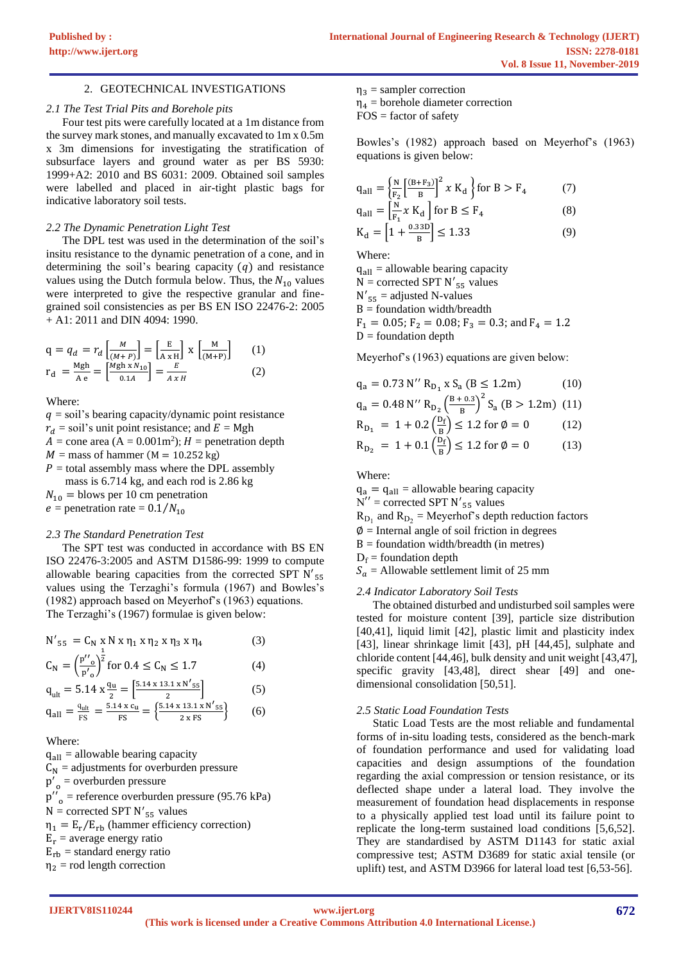# 2. GEOTECHNICAL INVESTIGATIONS

# *2.1 The Test Trial Pits and Borehole pits*

Four test pits were carefully located at a 1m distance from the survey mark stones, and manually excavated to 1m x 0.5m x 3m dimensions for investigating the stratification of subsurface layers and ground water as per BS 5930: 1999+A2: 2010 and BS 6031: 2009. Obtained soil samples were labelled and placed in air-tight plastic bags for indicative laboratory soil tests.

# *2.2 The Dynamic Penetration Light Test*

The DPL test was used in the determination of the soil's insitu resistance to the dynamic penetration of a cone, and in determining the soil's bearing capacity  $(q)$  and resistance values using the Dutch formula below. Thus, the  $N_{10}$  values were interpreted to give the respective granular and finegrained soil consistencies as per BS EN ISO 22476-2: 2005 + A1: 2011 and DIN 4094: 1990.

$$
q = q_d = r_d \left[ \frac{M}{(M+P)} \right] = \left[ \frac{E}{A \times H} \right] \times \left[ \frac{M}{(M+P)} \right] \qquad (1)
$$
  
\n
$$
r_d = \frac{Mgh}{A e} = \left[ \frac{Mgh \times N_{10}}{0.1A} \right] = \frac{E}{A \times H} \qquad (2)
$$

Where:

 $q =$ soil's bearing capacity/dynamic point resistance  $r_d$  = soil's unit point resistance; and  $E = Mgh$  $A = \text{cone area} (A = 0.001 \text{m}^2)$ ;  $H = \text{penetration depth}$  $M =$  mass of hammer (M = 10.252 kg)  $P =$  total assembly mass where the DPL assembly mass is 6.714 kg, and each rod is 2.86 kg

 $N_{10}$  = blows per 10 cm penetration  $e =$  penetration rate = 0.1/ $N_{10}$ 

# *2.3 The Standard Penetration Test*

The SPT test was conducted in accordance with BS EN ISO 22476-3:2005 and ASTM D1586-99: 1999 to compute allowable bearing capacities from the corrected SPT N'<sub>55</sub> values using the Terzaghi's formula (1967) and Bowles's (1982) approach based on Meyerhof's (1963) equations. The Terzaghi's (1967) formulae is given below:

$$
N'_{55} = C_N \times N \times \eta_1 \times \eta_2 \times \eta_3 \times \eta_4
$$
(3)  
\n
$$
C_N = \left(\frac{p''_0}{p'_0}\right)^{\frac{1}{2}} \text{for } 0.4 \le C_N \le 1.7
$$
(4)  
\n
$$
q_{ult} = 5.14 \times \frac{q_u}{2} = \left[\frac{5.14 \times 13.1 \times N'_{55}}{2}\right] \qquad (5)
$$
\n
$$
q_{all} = \frac{q_{ult}}{FS} = \frac{5.14 \times c_u}{FS} = \left\{\frac{5.14 \times 13.1 \times N'_{55}}{2 \times FS}\right\} \qquad (6)
$$

Where:

 $q<sub>all</sub> =$  allowable bearing capacity

- $C_N$  = adjustments for overburden pressure
- $p'_{o}$  = overburden pressure
- $p''_{o}$  = reference overburden pressure (95.76 kPa)

 $N =$  corrected SPT  $N'_{55}$  values

 $\eta_1 = E_r/E_{rb}$  (hammer efficiency correction)

 $E_r$  = average energy ratio

 $E_{rb}$  = standard energy ratio

 $\eta_2$  = rod length correction

 $\eta_3$  = sampler correction

 $\eta_4$  = borehole diameter correction  $FOS =$  factor of safety

Bowles's (1982) approach based on Meyerhof's (1963) equations is given below:

$$
q_{all} = \left\{ \frac{N}{F_2} \left[ \frac{(B + F_3)}{B} \right]^2 x K_d \right\} \text{ for } B > F_4 \tag{7}
$$
  
\n
$$
q_{all} = \left[ \frac{N}{F_1} x K_d \right] \text{ for } B \le F_4 \tag{8}
$$

$$
K_{d} = \left[1 + \frac{0.33D}{B}\right] \le 1.33\tag{9}
$$

Where:

 $q<sub>all</sub> =$  allowable bearing capacity  $N =$  corrected SPT  $N'_{55}$  values  $N'_{55}$  = adjusted N-values  $B =$  foundation width/breadth

 $F_1 = 0.05$ ;  $F_2 = 0.08$ ;  $F_3 = 0.3$ ; and  $F_4 = 1.2$  $D =$  foundation depth

Meyerhof's (1963) equations are given below:

$$
q_a = 0.73 N'' R_{D_1} x S_a (B \le 1.2 m)
$$
 (10)

$$
q_a = 0.48 \text{ N}'' R_{D_2} \left(\frac{B + 0.3}{B}\right)^2 S_a \left(B > 1.2 \text{m}\right) (11)
$$

$$
R_{D_1} = 1 + 0.2 \left(\frac{D_f}{B}\right) \le 1.2 \text{ for } \emptyset = 0 \tag{12}
$$

$$
R_{D_2} = 1 + 0.1 \left(\frac{\tilde{D}_f}{B}\right) \le 1.2 \text{ for } \phi = 0 \tag{13}
$$

Where:

 $q_a = q_{all}$  = allowable bearing capacity  $N''$  = corrected SPT N'<sub>55</sub> values  $R_{D_1}$  and  $R_{D_2}$  = Meyerhof's depth reduction factors  $\varnothing$  = Internal angle of soil friction in degrees  $B =$  foundation width/breadth (in metres)  $D_f$  = foundation depth  $S_a =$  Allowable settlement limit of 25 mm

# *2.4 Indicator Laboratory Soil Tests*

The obtained disturbed and undisturbed soil samples were tested for moisture content [39], particle size distribution [40,41], liquid limit [42], plastic limit and plasticity index [43], linear shrinkage limit [43], pH [44,45], sulphate and chloride content [44,46], bulk density and unit weight [43,47], specific gravity [43,48], direct shear [49] and onedimensional consolidation [50,51].

# *2.5 Static Load Foundation Tests*

Static Load Tests are the most reliable and fundamental forms of in-situ loading tests, considered as the bench-mark of foundation performance and used for validating load capacities and design assumptions of the foundation regarding the axial compression or tension resistance, or its deflected shape under a lateral load. They involve the measurement of foundation head displacements in response to a physically applied test load until its failure point to replicate the long-term sustained load conditions [5,6,52]. They are standardised by ASTM D1143 for static axial compressive test; ASTM D3689 for static axial tensile (or uplift) test, and ASTM D3966 for lateral load test [6,53-56].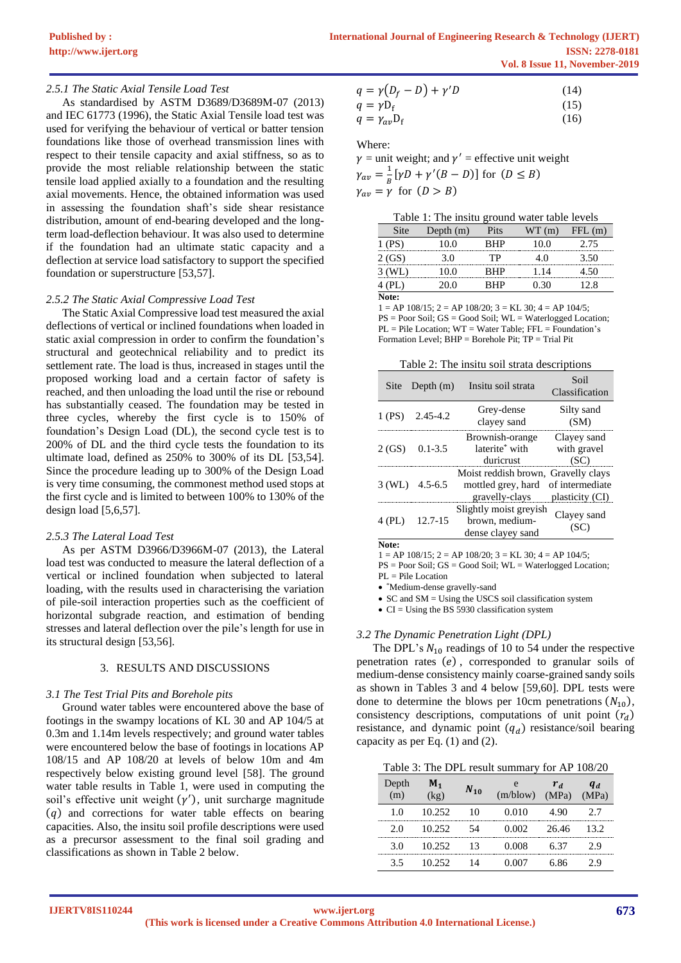# *2.5.1 The Static Axial Tensile Load Test*

As standardised by ASTM D3689/D3689M-07 (2013) and IEC 61773 (1996), the Static Axial Tensile load test was used for verifying the behaviour of vertical or batter tension foundations like those of overhead transmission lines with respect to their tensile capacity and axial stiffness, so as to provide the most reliable relationship between the static tensile load applied axially to a foundation and the resulting axial movements. Hence, the obtained information was used in assessing the foundation shaft's side shear resistance distribution, amount of end-bearing developed and the longterm load-deflection behaviour. It was also used to determine if the foundation had an ultimate static capacity and a deflection at service load satisfactory to support the specified foundation or superstructure [53,57].

#### *2.5.2 The Static Axial Compressive Load Test*

The Static Axial Compressive load test measured the axial deflections of vertical or inclined foundations when loaded in static axial compression in order to confirm the foundation's structural and geotechnical reliability and to predict its settlement rate. The load is thus, increased in stages until the proposed working load and a certain factor of safety is reached, and then unloading the load until the rise or rebound has substantially ceased. The foundation may be tested in three cycles, whereby the first cycle is to 150% of foundation's Design Load (DL), the second cycle test is to 200% of DL and the third cycle tests the foundation to its ultimate load, defined as 250% to 300% of its DL [53,54]. Since the procedure leading up to 300% of the Design Load is very time consuming, the commonest method used stops at the first cycle and is limited to between 100% to 130% of the design load [5,6,57].

## *2.5.3 The Lateral Load Test*

As per ASTM D3966/D3966M-07 (2013), the Lateral load test was conducted to measure the lateral deflection of a vertical or inclined foundation when subjected to lateral loading, with the results used in characterising the variation of pile-soil interaction properties such as the coefficient of horizontal subgrade reaction, and estimation of bending stresses and lateral deflection over the pile's length for use in its structural design [53,56].

## 3. RESULTS AND DISCUSSIONS

## *3.1 The Test Trial Pits and Borehole pits*

Ground water tables were encountered above the base of footings in the swampy locations of KL 30 and AP 104/5 at 0.3m and 1.14m levels respectively; and ground water tables were encountered below the base of footings in locations AP 108/15 and AP 108/20 at levels of below 10m and 4m respectively below existing ground level [58]. The ground water table results in Table 1, were used in computing the soil's effective unit weight  $(y')$ , unit surcharge magnitude  $(q)$  and corrections for water table effects on bearing capacities. Also, the insitu soil profile descriptions were used as a precursor assessment to the final soil grading and classifications as shown in Table 2 below.

$$
q = \gamma (D_f - D) + \gamma' D \tag{14}
$$
  
\n
$$
q = \gamma D_f \tag{15}
$$
  
\n
$$
q = \gamma_{av} D_f \tag{16}
$$

Where:

 $\gamma$  = unit weight; and  $\gamma'$  = effective unit weight  $\gamma_{av} = \frac{1}{R}$  $\frac{1}{B}[\gamma D + \gamma'(B - D)]$  for  $(D \leq B)$  $\gamma_{av} = \gamma$  for  $(D > B)$ 

| Site  | Depth $(m)$ | Pits       | WT (m) | FFL(m)   |
|-------|-------------|------------|--------|----------|
| (PS)  | 10.0        | RHP        | 10.0   | 2.75<br> |
| 2(GS) | 30          | тP.        |        | 3.50     |
| WL)   | (0.0)       | <b>RHP</b> | 1 14   |          |
|       | 00          | ₹НР        | । 30   | 28       |
| Vote: |             |            |        |          |

 $1 = AP 108/15$ ;  $2 = AP 108/20$ ;  $3 = KL 30$ ;  $4 = AP 104/5$ ; PS = Poor Soil; GS = Good Soil; WL = Waterlogged Location; PL = Pile Location; WT = Water Table; FFL = Foundation's Formation Level; BHP = Borehole Pit; TP = Trial Pit

|        | Site Depth $(m)$ | Insitu soil strata                                                          | Soil<br>Classification             |
|--------|------------------|-----------------------------------------------------------------------------|------------------------------------|
| 1 (PS) | $2.45 - 4.2$     | Grey-dense<br>clayey sand                                                   | Silty sand<br>(SM)                 |
| 2(GS)  | $0.1 - 3.5$      | Brownish-orange<br>laterite <sup>*</sup> with<br>durierust                  | Clayey sand<br>with gravel<br>(SC) |
| 3(WL)  | $4.5 - 6.5$      | Moist reddish brown, Gravelly clays<br>mottled grey, hard<br>gravelly-clays | of intermediate<br>plasticity (CI) |
|        | 12.7-15          | Slightly moist greyish<br>brown, medium-<br>dense clayey sand               | Clayey sand                        |

**Note:**

 $1 = AP 108/15$ ;  $2 = AP 108/20$ ;  $3 = KL 30$ ;  $4 = AP 104/5$ ;

PS = Poor Soil; GS = Good Soil; WL = Waterlogged Location;  $PL =$ Pile Location

• \*Medium-dense gravelly-sand

• SC and SM = Using the USCS soil classification system

• CI = Using the BS 5930 classification system

# *3.2 The Dynamic Penetration Light (DPL)*

The DPL's  $N_{10}$  readings of 10 to 54 under the respective penetration rates  $(e)$ , corresponded to granular soils of medium-dense consistency mainly coarse-grained sandy soils as shown in Tables 3 and 4 below [59,60]. DPL tests were done to determine the blows per 10cm penetrations  $(N_{10})$ , consistency descriptions, computations of unit point  $(r_d)$ resistance, and dynamic point  $(q_d)$  resistance/soil bearing capacity as per Eq. (1) and (2).

Table 3: The DPL result summary for AP 108/20

| Depth<br>m) | $M_{1}$<br>$\zeta$ or | $N_{10}$ | (m/blow) | $r_d$<br>(MPa) | $q_d$<br>(MPa) |
|-------------|-----------------------|----------|----------|----------------|----------------|
| 10          | 10.252                | 10       | 0.010    | 490            | 27             |
| 2.0         | 10.252                | 54       | 0.002    | 26.46          | 13.2           |
| 30          | 10.252                | 13       | 0.008    | 6 37           | 29             |
| 35          | 10.252                | 14       | ባ በበ7    | 6 86           | 7 Q            |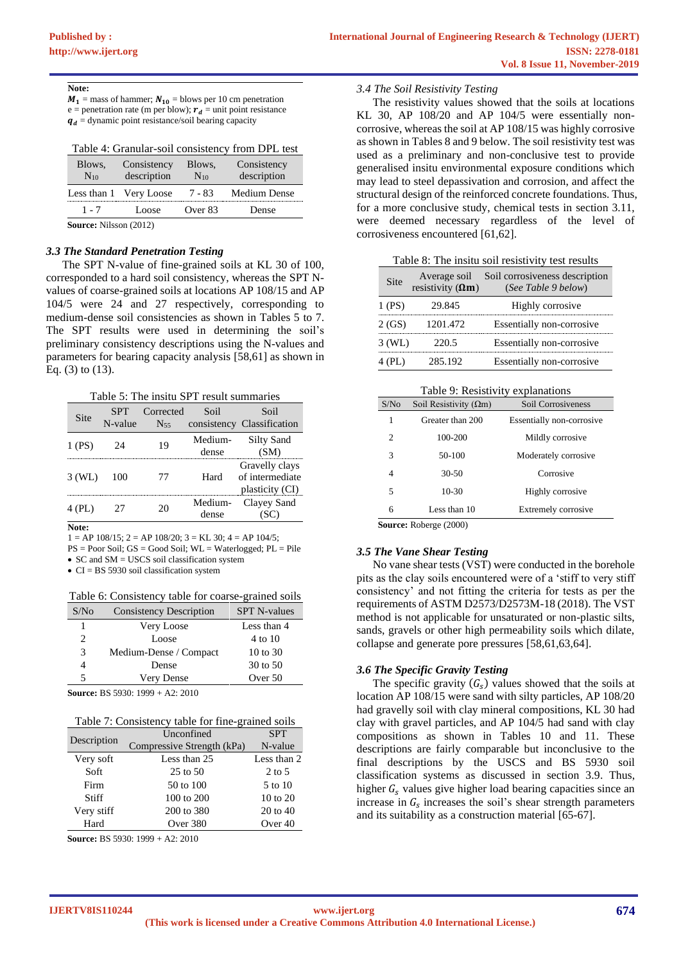$M_1$  = mass of hammer;  $N_{10}$  = blows per 10 cm penetration e = penetration rate (m per blow);  $r_d$  = unit point resistance  $q_d$  = dynamic point resistance/soil bearing capacity

| Table 4: Granular-soil consistency from DPL test |  |  |  |
|--------------------------------------------------|--|--|--|
|                                                  |  |  |  |

| Blows,<br>$N_{10}$            | Consistency<br>description | Blows,<br>$N_{10}$ | Consistency<br>description |  |  |
|-------------------------------|----------------------------|--------------------|----------------------------|--|--|
| Less than 1                   | Very Loose                 | 7 - 83             | Medium Dense               |  |  |
| 1 - 7                         | Loose                      | Over 83            | Dense                      |  |  |
| <b>Source:</b> Nilsson (2012) |                            |                    |                            |  |  |

*3.3 The Standard Penetration Testing* The SPT N-value of fine-grained soils at KL 30 of 100, corresponded to a hard soil consistency, whereas the SPT Nvalues of coarse-grained soils at locations AP 108/15 and AP 104/5 were 24 and 27 respectively, corresponding to medium-dense soil consistencies as shown in Tables 5 to 7. The SPT results were used in determining the soil's preliminary consistency descriptions using the N-values and parameters for bearing capacity analysis [58,61] as shown in Eq. (3) to (13).

Table 5: The insitu SPT result summaries

| Site   | <b>SPT</b><br>N-value | Corrected<br>$N_{55}$ | Soil             | Soil<br>consistency Classification                   |
|--------|-----------------------|-----------------------|------------------|------------------------------------------------------|
| 1 (PS) | 24                    | 19                    | Medium-<br>dense | <b>Silty Sand</b><br>(SM)                            |
| 3(WL)  | 100                   | 77                    | Hard             | Gravelly clays<br>of intermediate<br>plasticity (CI) |
| (PL)   |                       | 20                    | Medium-<br>dense | Clayey Sand                                          |
| . T.   |                       |                       |                  |                                                      |

**Note:**

 $1 = AP 108/15$ ;  $2 = AP 108/20$ ;  $3 = KL 30$ ;  $4 = AP 104/5$ ;

PS = Poor Soil; GS = Good Soil; WL = Waterlogged; PL = Pile

• SC and SM = USCS soil classification system • CI = BS 5930 soil classification system

Table 6: Consistency table for coarse-grained soils

| S/N <sub>0</sub> | <b>Consistency Description</b> | <b>SPT N-values</b> |
|------------------|--------------------------------|---------------------|
|                  | Very Loose                     | Less than 4         |
| 2                | Loose                          | 4 to 10             |
| 3                | Medium-Dense / Compact         | $10 \text{ to } 30$ |
| 4                | Dense                          | 30 to 50            |
| 5                | Very Dense                     | Over 50             |
|                  |                                |                     |

**Source:** BS 5930: 1999 + A2: 2010

| Description | Unconfined                 | <b>SPT</b>          |
|-------------|----------------------------|---------------------|
|             | Compressive Strength (kPa) | N-value             |
| Very soft   | Less than 25               | Less than 2         |
| Soft        | $25$ to $50$               | $2 \text{ to } 5$   |
| Firm        | 50 to 100                  | 5 to 10             |
| Stiff       | $100 \text{ to } 200$      | $10 \text{ to } 20$ |
| Very stiff  | 200 to 380                 | $20 \text{ to } 40$ |
| Hard        | Over 380                   | Over 40             |

**Source:** BS 5930: 1999 + A2: 2010

*3.4 The Soil Resistivity Testing*

The resistivity values showed that the soils at locations KL 30, AP 108/20 and AP 104/5 were essentially noncorrosive, whereas the soil at AP 108/15 was highly corrosive as shown in Tables 8 and 9 below. The soil resistivity test was used as a preliminary and non-conclusive test to provide generalised insitu environmental exposure conditions which may lead to steel depassivation and corrosion, and affect the structural design of the reinforced concrete foundations. Thus, for a more conclusive study, chemical tests in section 3.11, were deemed necessary regardless of the level of corrosiveness encountered [61,62].

Table 8: The insitu soil resistivity test results

| Site   | Average soil<br>resistivity $(\Omega m)$ | Soil corrosiveness description<br>(See Table 9 below) |  |  |  |  |  |
|--------|------------------------------------------|-------------------------------------------------------|--|--|--|--|--|
| 1 (PS) | 29.845                                   | Highly corrosive                                      |  |  |  |  |  |
| 2(GS)  | 1201.472                                 | Essentially non-corrosive                             |  |  |  |  |  |
| 3 (WL) | 220.5                                    | Essentially non-corrosive                             |  |  |  |  |  |
| 4 (PL) | 285.192                                  | Essentially non-corrosive                             |  |  |  |  |  |

#### Table 9: Resistivity explanations

| S/N <sub>0</sub> | Soil Resistivity $(\Omega m)$ | Soil Corrosiveness         |
|------------------|-------------------------------|----------------------------|
| 1                | Greater than 200              | Essentially non-corrosive  |
| 2                | 100-200                       | Mildly corrosive           |
| 3                | 50-100                        | Moderately corrosive       |
| 4                | $30-50$                       | Corrosive                  |
| 5                | $10-30$                       | Highly corrosive           |
| 6                | Less than 10                  | <b>Extremely corrosive</b> |

**Source:** Roberge (2000)

## *3.5 The Vane Shear Testing*

No vane shear tests (VST) were conducted in the borehole pits as the clay soils encountered were of a 'stiff to very stiff consistency' and not fitting the criteria for tests as per the requirements of ASTM D2573/D2573M-18 (2018). The VST method is not applicable for unsaturated or non-plastic silts, sands, gravels or other high permeability soils which dilate, collapse and generate pore pressures [58,61,63,64].

# *3.6 The Specific Gravity Testing*

The specific gravity  $(G<sub>s</sub>)$  values showed that the soils at location AP 108/15 were sand with silty particles, AP 108/20 had gravelly soil with clay mineral compositions, KL 30 had clay with gravel particles, and AP 104/5 had sand with clay compositions as shown in Tables 10 and 11. These descriptions are fairly comparable but inconclusive to the final descriptions by the USCS and BS 5930 soil classification systems as discussed in section 3.9. Thus, higher  $G_s$  values give higher load bearing capacities since an increase in  $G_s$  increases the soil's shear strength parameters and its suitability as a construction material [65-67].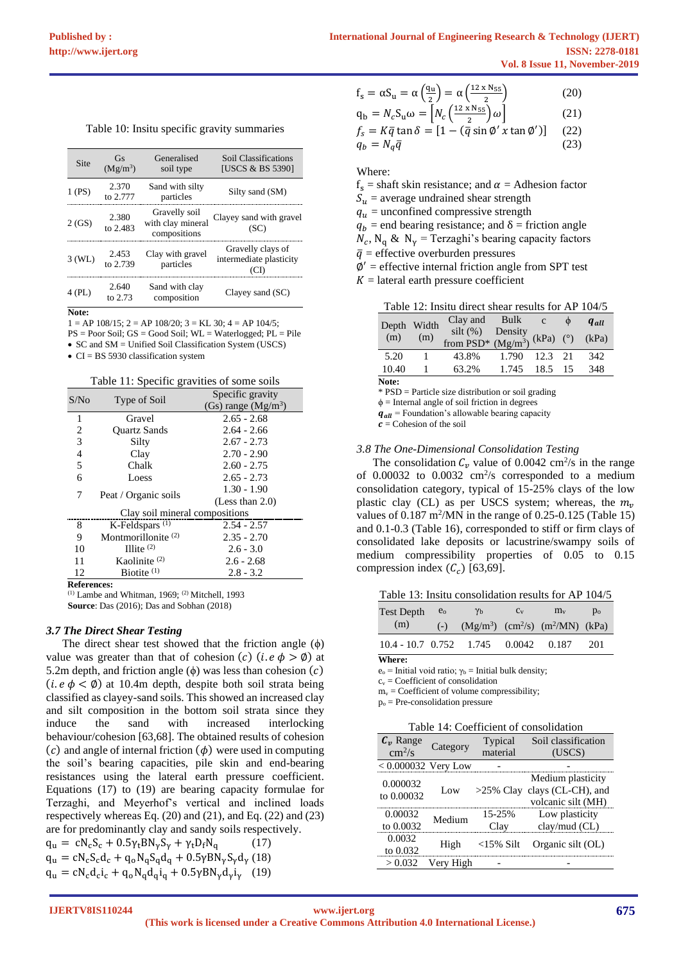| Site   | Gs<br>$(Mg/m^3)$  | Generalised<br>soil type                           | Soil Classifications<br>[USCS & BS 5390]     |
|--------|-------------------|----------------------------------------------------|----------------------------------------------|
| (PS)   | 2.370<br>to 2.777 | Sand with silty<br>particles                       | Silty sand (SM)                              |
| 2(GS)  | 2.380<br>to 2.483 | Gravelly soil<br>with clay mineral<br>compositions | Clayey sand with gravel<br>(SC)              |
| 3 (WL) | 2.453<br>to 2.739 | Clay with gravel<br>particles                      | Gravelly clays of<br>intermediate plasticity |
| 4 (PL) | 2.640<br>to 2.73  | Sand with clay<br>composition                      | Clayey sand $(SC)$                           |
|        |                   |                                                    |                                              |

 $1 = AP 108/15$ ;  $2 = AP 108/20$ ;  $3 = KL 30$ ;  $4 = AP 104/5$ ;  $PS = Poor$  Soil;  $GS = Good$  Soil;  $WL = Waterlogged$ ;  $PL = File$ 

• SC and SM = Unified Soil Classification System (USCS)

• CI = BS 5930 classification system

Table 11: Specific gravities of some soils

| S/No | Type of Soil                   | Specific gravity      |
|------|--------------------------------|-----------------------|
|      |                                | (Gs) range $(Mg/m^3)$ |
| 1    | Gravel                         | $2.65 - 2.68$         |
| 2    | <b>Ouartz Sands</b>            | $2.64 - 2.66$         |
| 3    | Silty                          | $2.67 - 2.73$         |
| 4    | Clay                           | $2.70 - 2.90$         |
| 5    | Chalk                          | $2.60 - 2.75$         |
| 6    | Loess                          | $2.65 - 2.73$         |
| 7    |                                | $1.30 - 1.90$         |
|      | Peat / Organic soils           | (Less than $2.0$ )    |
|      | Clay soil mineral compositions |                       |
| 8    | K-Feldspars <sup>(1)</sup>     | $2.54 - 2.57$         |
| 9    | Montmorillonite <sup>(2)</sup> | $2.35 - 2.70$         |
| 10   | Illite $(2)$                   | $2.6 - 3.0$           |
| 11   | Kaolinite $(2)$                | $2.6 - 2.68$          |
| 12   | Biotite $(1)$                  | $2.8 - 3.2$           |
| ъ е  |                                |                       |

**References:**

 $(1)$  Lambe and Whitman, 1969;  $(2)$  Mitchell, 1993 **Source**: Das (2016); Das and Sobhan (2018)

## *3.7 The Direct Shear Testing*

The direct shear test showed that the friction angle  $(\phi)$ value was greater than that of cohesion (c) (*i.e*  $\phi > \emptyset$ ) at 5.2m depth, and friction angle ( $\phi$ ) was less than cohesion (*c*) (*i. e*  $\phi$  <  $\emptyset$ ) at 10.4m depth, despite both soil strata being classified as clayey-sand soils. This showed an increased clay and silt composition in the bottom soil strata since they induce the sand with increased interlocking behaviour/cohesion [63,68]. The obtained results of cohesion (c) and angle of internal friction  $(\phi)$  were used in computing the soil's bearing capacities, pile skin and end-bearing resistances using the lateral earth pressure coefficient. Equations (17) to (19) are bearing capacity formulae for Terzaghi, and Meyerhof's vertical and inclined loads respectively whereas Eq. (20) and (21), and Eq. (22) and (23) are for predominantly clay and sandy soils respectively.

$$
q_{u} = cN_{c}S_{c} + 0.5\gamma_{t}BN_{\gamma}S_{\gamma} + \gamma_{t}D_{f}N_{q}
$$
 (17)  
\n
$$
q_{u} = cN_{c}S_{c}d_{c} + q_{o}N_{q}S_{q}d_{q} + 0.5\gamma BN_{\gamma}S_{\gamma}d_{\gamma}
$$
 (18)  
\n
$$
q_{u} = cN_{c}d_{c}i_{c} + q_{o}N_{q}d_{q}i_{q} + 0.5\gamma BN_{\gamma}d_{\gamma}i_{\gamma}
$$
 (19)

| $f_s = \alpha S_u = \alpha \left(\frac{q_u}{2}\right) = \alpha \left(\frac{12 \times N_{55}}{2}\right)$  | (20) |
|----------------------------------------------------------------------------------------------------------|------|
| $q_{\rm b} = N_c S_{\rm u} \omega = \left[ N_c \left( \frac{12 \times N_{55}}{2} \right) \omega \right]$ | (21) |
| $f_s = K\bar{q} \tan \delta = [1 - (\bar{q} \sin \phi' x \tan \phi')]$                                   | (22) |
| $q_b = N_a \bar{q}$                                                                                      | (23) |

Where:

 $f_s$  = shaft skin resistance; and  $\alpha$  = Adhesion factor

 $S_{\nu}$  = average undrained shear strength

 $q_u$  = unconfined compressive strength

 $q_b$  = end bearing resistance; and  $\delta$  = friction angle

 $N_c$ , N<sub>q</sub> & N<sub>γ</sub> = Terzaghi's bearing capacity factors

 $\bar{q}$  = effective overburden pressures

 $\phi'$  = effective internal friction angle from SPT test

 $K =$  lateral earth pressure coefficient

|  |  | Table 12: Insitu direct shear results for AP 104/5 |  |  |
|--|--|----------------------------------------------------|--|--|
|  |  |                                                    |  |  |

| Depth Width |              | Clay and Bulk c                                          |               |         | $q_{all}$ |
|-------------|--------------|----------------------------------------------------------|---------------|---------|-----------|
| (m)         | (m)          | silt (%) Density<br>from PSD* $(Mg/m^3)$ (kPa) (°) (kPa) |               |         |           |
| 5.20        | $\mathbf{1}$ | 43.8%                                                    | 1.790 12.3 21 |         | 342       |
| 10.40       |              | 63.2%                                                    | 1.745         | 18.5 15 | 348       |

**Note:**

\* PSD = Particle size distribution or soil grading

 $\phi$  = Internal angle of soil friction in degrees

 $q_{all}$  = Foundation's allowable bearing capacity

 $\mathbf{c}$  = Cohesion of the soil

## *3.8 The One-Dimensional Consolidation Testing*

The consolidation  $C_v$  value of 0.0042 cm<sup>2</sup>/s in the range of  $0.00032$  to  $0.0032$  cm<sup>2</sup>/s corresponded to a medium consolidation category, typical of 15-25% clays of the low plastic clay (CL) as per USCS system; whereas, the  $m_v$ values of  $0.187 \text{ m}^2/\text{MN}$  in the range of  $0.25 \text{-} 0.125$  (Table 15) and 0.1-0.3 (Table 16), corresponded to stiff or firm clays of consolidated lake deposits or lacustrine/swampy soils of medium compressibility properties of 0.05 to 0.15 compression index  $(C_c)$  [63,69].

Table 13: Insitu consolidation results for AP 104/5

| <b>Test Depth</b>         | $e_{o}$ | $\gamma_{\rm b}$ | $C_V$ | $m_{v}$                                              | $p_0$ |
|---------------------------|---------|------------------|-------|------------------------------------------------------|-------|
| (m)                       |         |                  |       | (-) $(Mg/m^3)$ (cm <sup>2</sup> /s) $(m^2/MN)$ (kPa) |       |
| $10.4 - 10.7$ 0.752 1.745 |         |                  |       | $0.0042$ 0.187                                       | 201   |

**Where:**

 $e_0$  = Initial void ratio;  $\gamma_b$  = Initial bulk density;

 $c_v$  = Coefficient of consolidation

 $m_v = Coefficient of volume compressibility;$ 

 $p<sub>o</sub>$  = Pre-consolidation pressure

| Table 14: Coefficient of consolidation |  |
|----------------------------------------|--|
|                                        |  |

| $C_v$ Range              | Category  | Typical      | Soil classification                                  |
|--------------------------|-----------|--------------|------------------------------------------------------|
| $\rm cm^2/s$             |           | material     | (USCS)                                               |
| $< 0.000032$ Very Low    |           |              |                                                      |
| 0.000032<br>to $0.00032$ | Low       |              | Medium plasticity<br>$>25\%$ Clay clays (CL-CH), and |
|                          |           |              | volcanic silt (MH)                                   |
| 0.00032                  | Medium    | 15-25%       | Low plasticity                                       |
| to 0.0032                |           | ⊡lav         | $clay/mud$ (CL)                                      |
| 0.0032<br>to $0.032$     | High      | $<$ 15% Silt | Organic silt (OL)                                    |
| > 0.032                  | Verv High |              |                                                      |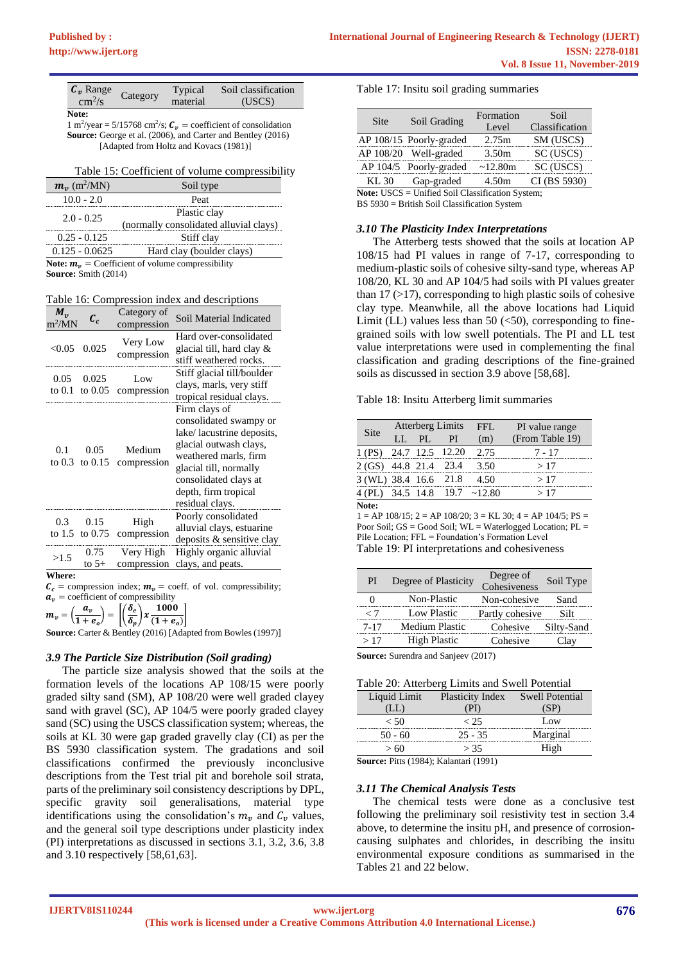| $C_n$ Range            | Category | Typical  | Soil classification |
|------------------------|----------|----------|---------------------|
| $\text{cm}^2/\text{s}$ |          | material | (USCS)              |
| Note:                  |          |          |                     |

1 m<sup>2</sup>/year = 5/15768 cm<sup>2</sup>/s;  $C_v$  = coefficient of consolidation **Source:** George et al. (2006), and Carter and Bentley (2016) [Adapted from Holtz and Kovacs (1981)]

| Table 15: Coefficient of volume compressibility |  |
|-------------------------------------------------|--|
|-------------------------------------------------|--|

| $m_{\nu}$ (m <sup>2</sup> /MN)                             | Soil type                              |  |
|------------------------------------------------------------|----------------------------------------|--|
| $10.0 - 2.0$                                               | Peat                                   |  |
| $2.0 - 0.25$                                               | Plastic clay                           |  |
|                                                            | (normally consolidated alluvial clays) |  |
| $0.25 - 0.125$                                             | Stiff clay                             |  |
| $0.125 - 0.0625$                                           | Hard clay (boulder clays)              |  |
| <b>Note:</b> $m_n$ = Coefficient of volume compressibility |                                        |  |

**Source:** Smith (2014)

Table 16: Compression index and descriptions

| $M_{\nu}$<br>$m^2/MN$ | $\mathcal{C}_c$             | Category of<br>compression | Soil Material Indicated                                                                                                                                                                                               |
|-----------------------|-----------------------------|----------------------------|-----------------------------------------------------------------------------------------------------------------------------------------------------------------------------------------------------------------------|
| < 0.05                | 0.025                       | Very Low<br>compression    | Hard over-consolidated<br>glacial till, hard clay &<br>stiff weathered rocks.                                                                                                                                         |
| 0.05                  | 0.025<br>to $0.1$ to $0.05$ | Low<br>compression         | Stiff glacial till/boulder<br>clays, marls, very stiff<br>tropical residual clays.                                                                                                                                    |
| 0.1                   | 0.05<br>to $0.3$ to $0.15$  | Medium<br>compression      | Firm clays of<br>consolidated swampy or<br>lake/lacustrine deposits,<br>glacial outwash clays,<br>weathered marls, firm<br>glacial till, normally<br>consolidated clays at<br>depth, firm tropical<br>residual clays. |
| 0.3                   | 0.15<br>to 1.5 to $0.75$    | High<br>compression        | Poorly consolidated<br>alluvial clays, estuarine<br>deposits & sensitive clay                                                                                                                                         |
| >1.5                  | 0.75<br>to $5+$             | Very High<br>compression   | Highly organic alluvial<br>clays, and peats.                                                                                                                                                                          |
| Where:                |                             |                            |                                                                                                                                                                                                                       |

 $\mathcal{C}_c$  = compression index;  $\mathcal{m}_v$  = coeff. of vol. compressibility;

 $a_v$  = coefficient of compressibility  $m_v = \left(\frac{a_v}{1 + \cdots}\right)$  $\left(\frac{a_v}{1+e_o}\right) = \left[\left(\frac{\delta_e}{\delta_p}\right)\right]$  $\left(\frac{\delta_e}{\delta_p}\right)$  x  $\frac{1000}{(1+e_e)}$  $\overline{(1 + e_o)}$ 

**Source:** Carter & Bentley (2016) [Adapted from Bowles (1997)]

## *3.9 The Particle Size Distribution (Soil grading)*

The particle size analysis showed that the soils at the formation levels of the locations AP 108/15 were poorly graded silty sand (SM), AP 108/20 were well graded clayey sand with gravel (SC), AP 104/5 were poorly graded clayey sand (SC) using the USCS classification system; whereas, the soils at KL 30 were gap graded gravelly clay (CI) as per the BS 5930 classification system. The gradations and soil classifications confirmed the previously inconclusive descriptions from the Test trial pit and borehole soil strata, parts of the preliminary soil consistency descriptions by DPL, specific gravity soil generalisations, material type identifications using the consolidation's  $m<sub>v</sub>$  and  $C<sub>v</sub>$  values, and the general soil type descriptions under plasticity index (PI) interpretations as discussed in sections 3.1, 3.2, 3.6, 3.8 and 3.10 respectively [58,61,63].

Table 17: Insitu soil grading summaries

| Site  | Soil Grading            | Formation         | Soil           |
|-------|-------------------------|-------------------|----------------|
|       |                         | Level             | Classification |
|       | AP 108/15 Poorly-graded | 2.75m             | SM (USCS)      |
|       | AP 108/20 Well-graded   | 3.50 <sub>m</sub> | SC (USCS)      |
|       | AP 104/5 Poorly-graded  | $\sim$ 12.80m     | SC (USCS)      |
| KL 30 | Gap-graded              | 4.50m             | CI (BS 5930)   |
|       |                         |                   |                |

**Note:** USCS = Unified Soil Classification System;

BS 5930 = British Soil Classification System

#### *3.10 The Plasticity Index Interpretations*

The Atterberg tests showed that the soils at location AP 108/15 had PI values in range of 7-17, corresponding to medium-plastic soils of cohesive silty-sand type, whereas AP 108/20, KL 30 and AP 104/5 had soils with PI values greater than  $17$  ( $>17$ ), corresponding to high plastic soils of cohesive clay type. Meanwhile, all the above locations had Liquid Limit (LL) values less than 50  $(*50*)$ , corresponding to finegrained soils with low swell potentials. The PI and LL test value interpretations were used in complementing the final classification and grading descriptions of the fine-grained soils as discussed in section 3.9 above [58,68].

#### Table 18: Insitu Atterberg limit summaries

| <b>Site</b>           | Atterberg Limits |     | FFL.            | PI value range               |                 |
|-----------------------|------------------|-----|-----------------|------------------------------|-----------------|
|                       | LL.              | PI. | PL              | (m)                          | (From Table 19) |
| 1 (PS)                |                  |     | 24.7 12.5 12.20 | 2.75                         | 7 - 17          |
| 2 (GS) 44.8 21.4 23.4 |                  |     |                 | 3.50                         | >17             |
| 3 (WL) 38.4 16.6 21.8 |                  |     |                 | 4.50                         | >17             |
|                       |                  |     |                 | 4 (PL) 34.5 14.8 19.7 ~12.80 | >17             |
| Note:                 |                  |     |                 |                              |                 |

 $1 = AP 108/15$ ;  $2 = AP 108/20$ ;  $3 = KL 30$ ;  $4 = AP 104/5$ ;  $PS =$ Poor Soil; GS = Good Soil; WL = Waterlogged Location; PL = Pile Location; FFL = Foundation's Formation Level Table 19: PI interpretations and cohesiveness

| PI       | Degree of Plasticity | Degree of<br>Cohesiveness | Soil Type |
|----------|----------------------|---------------------------|-----------|
|          | Non-Plastic          | Non-cohesive              | Sand      |
| - 7      | Low Plastic          | Partly cohesive           | Silt      |
| $7 - 17$ | Medium Plastic       | Cohesive Silty-Sand       |           |
| >17      | <b>High Plastic</b>  | Cohesive                  | Clay      |

**Source:** Surendra and Sanjeev (2017)

|  | Table 20: Atterberg Limits and Swell Potential |  |
|--|------------------------------------------------|--|
|  |                                                |  |

| Table 20: Atterberg Limits and Swell Potential                                  |                                  |          |  |  |
|---------------------------------------------------------------------------------|----------------------------------|----------|--|--|
| Liquid Limit                                                                    | Plasticity Index Swell Potential |          |  |  |
| (LL)                                                                            |                                  | (SP)     |  |  |
| < 50                                                                            | < 25                             | Low      |  |  |
| $50 - 60$                                                                       | $25 - 35$                        | Marginal |  |  |
| >60                                                                             | > 35                             | High     |  |  |
| $\mathbf{C_{\Omega\Pi}$ req: Ditte (1084): $\mathbf{V_{\Omega}}$ lantari (1001) |                                  |          |  |  |

**Source:** Pitts (1984); Kalantari (1991)

#### *3.11 The Chemical Analysis Tests*

The chemical tests were done as a conclusive test following the preliminary soil resistivity test in section 3.4 above, to determine the insitu pH, and presence of corrosioncausing sulphates and chlorides, in describing the insitu environmental exposure conditions as summarised in the Tables 21 and 22 below.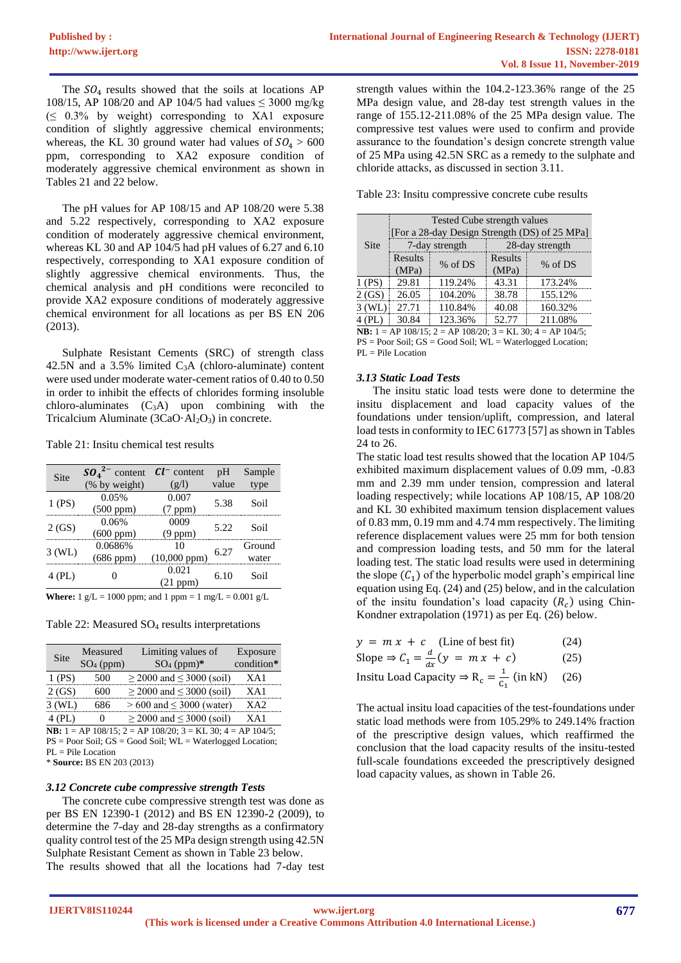The  $SO_4$  results showed that the soils at locations AP 108/15, AP 108/20 and AP 104/5 had values  $\leq 3000$  mg/kg  $( \leq 0.3\%$  by weight) corresponding to XA1 exposure condition of slightly aggressive chemical environments; whereas, the KL 30 ground water had values of  $SO_4 > 600$ ppm, corresponding to XA2 exposure condition of moderately aggressive chemical environment as shown in Tables 21 and 22 below.

The pH values for AP 108/15 and AP 108/20 were 5.38 and 5.22 respectively, corresponding to XA2 exposure condition of moderately aggressive chemical environment, whereas KL 30 and AP 104/5 had pH values of 6.27 and 6.10 respectively, corresponding to XA1 exposure condition of slightly aggressive chemical environments. Thus, the chemical analysis and pH conditions were reconciled to provide XA2 exposure conditions of moderately aggressive chemical environment for all locations as per BS EN 206 (2013).

Sulphate Resistant Cements (SRC) of strength class 42.5N and a  $3.5\%$  limited C<sub>3</sub>A (chloro-aluminate) content were used under moderate water-cement ratios of 0.40 to 0.50 in order to inhibit the effects of chlorides forming insoluble  $chloro-aluminates (C<sub>3</sub>A) upon combining with the$ Tricalcium Aluminate ( $3CaO·Al<sub>2</sub>O<sub>3</sub>$ ) in concrete.

Table 21: Insitu chemical test results

| Site                                                                 | $SO_4{}^{2-}$ content | $Cl^-$ content    | pH    | Sample |  |
|----------------------------------------------------------------------|-----------------------|-------------------|-------|--------|--|
|                                                                      | (% by weight)         | (g/l)             | value | type   |  |
| (PS)                                                                 | 0.05%                 | 0.007             | 5.38  | Soil   |  |
|                                                                      | $(500$ ppm $)$        | $(7$ ppm $)$      |       |        |  |
|                                                                      | 0.06%                 | 0009              | 5.22  |        |  |
| 2(GS)                                                                | $(600 \text{ ppm})$   | $(9$ ppm $)$      |       | Soil   |  |
|                                                                      | 0.0686%               | 10                |       | Ground |  |
| $3$ (WL)                                                             | $(686$ ppm $)$        | $(10,000$ ppm $)$ | 6.27  | water  |  |
|                                                                      |                       | 0.021             |       |        |  |
| 4 (PL)                                                               |                       | (21 ppm)          | 6.10  | Soil   |  |
| <b>Where:</b> $1 g/L = 1000$ ppm; and $1$ ppm = $1 mg/L = 0.001 g/L$ |                       |                   |       |        |  |

Table 22: Measured SO<sup>4</sup> results interpretations

| Site     | Measured<br>$SO_4$ (ppm) | Limiting values of<br>$SO_4$ (ppm)* | Exposure<br>condition* |
|----------|--------------------------|-------------------------------------|------------------------|
| 1 (PS)   | 500                      | $\geq$ 2000 and $\leq$ 3000 (soil)  | XA1                    |
| 2(GS)    | 600                      | $\geq$ 2000 and $\leq$ 3000 (soil)  | XA1                    |
| $3$ (WL) | 686                      | $> 600$ and $\leq 3000$ (water)     | XA <sub>2</sub>        |
| 4 (PL)   |                          | $\geq$ 2000 and $\leq$ 3000 (soil)  | XA 1                   |

**NB:** 1 = AP 108/15; 2 = AP 108/20; 3 = KL 30; 4 = AP 104/5; PS = Poor Soil; GS = Good Soil; WL = Waterlogged Location;

 $PL =$ Pile Location

\* **Source:** BS EN 203 (2013)

## *3.12 Concrete cube compressive strength Tests*

The concrete cube compressive strength test was done as per BS EN 12390-1 (2012) and BS EN 12390-2 (2009), to determine the 7-day and 28-day strengths as a confirmatory quality control test of the 25 MPa design strength using 42.5N Sulphate Resistant Cement as shown in Table 23 below. The results showed that all the locations had 7-day test strength values within the 104.2-123.36% range of the 25 MPa design value, and 28-day test strength values in the range of 155.12-211.08% of the 25 MPa design value. The compressive test values were used to confirm and provide assurance to the foundation's design concrete strength value of 25 MPa using 42.5N SRC as a remedy to the sulphate and chloride attacks, as discussed in section 3.11.

Table 23: Insitu compressive concrete cube results

|                                                                                |         | Tested Cube strength values |         | [For a 28-day Design Strength (DS) of 25 MPa] |
|--------------------------------------------------------------------------------|---------|-----------------------------|---------|-----------------------------------------------|
| <b>Site</b>                                                                    |         | 7-day strength              |         | 28-day strength                               |
|                                                                                | Results | % of DS                     | Results | $%$ of DS                                     |
|                                                                                | (MPa)   |                             | (MPa)   |                                               |
| $1$ (PS)                                                                       | 29.81   | 119.24%                     | 43.31   | 173.24%                                       |
| 2(GS)                                                                          | 26.05   | 104.20%                     | 38.78   | 155.12%                                       |
| $3$ (WL)                                                                       | 27.71   | 110.84%                     | 40.08   | 160.32%                                       |
| $4$ (PL)                                                                       | 30.84   | 123.36%                     | 52.77   | 211.08%                                       |
| <b>NB</b> : $1 = AP 108/15$ ; $2 = AP 108/20$ ; $3 = KL 30$ ; $4 = AP 104/5$ ; |         |                             |         |                                               |

PS = Poor Soil; GS = Good Soil; WL = Waterlogged Location; PL = Pile Location

# *3.13 Static Load Tests*

The insitu static load tests were done to determine the insitu displacement and load capacity values of the foundations under tension/uplift, compression, and lateral load tests in conformity to IEC 61773 [57] as shown in Tables 24 to 26.

The static load test results showed that the location AP 104/5 exhibited maximum displacement values of 0.09 mm, -0.83 mm and 2.39 mm under tension, compression and lateral loading respectively; while locations AP 108/15, AP 108/20 and KL 30 exhibited maximum tension displacement values of 0.83 mm, 0.19 mm and 4.74 mm respectively. The limiting reference displacement values were 25 mm for both tension and compression loading tests, and 50 mm for the lateral loading test. The static load results were used in determining the slope  $(C_1)$  of the hyperbolic model graph's empirical line equation using Eq. (24) and (25) below, and in the calculation of the insitu foundation's load capacity  $(R<sub>c</sub>)$  using Chin-Kondner extrapolation (1971) as per Eq. (26) below.

| $y = m x + c$ (Line of best fit)                                                 | (24) |
|----------------------------------------------------------------------------------|------|
| Slope $\Rightarrow$ $C_1 = \frac{d}{dx}(y = mx + c)$                             | (25) |
| Insitu Load Capacity $\Rightarrow$ R <sub>c</sub> = $\frac{1}{C_1}$ (in kN) (26) |      |

The actual insitu load capacities of the test-foundations under static load methods were from 105.29% to 249.14% fraction of the prescriptive design values, which reaffirmed the conclusion that the load capacity results of the insitu-tested full-scale foundations exceeded the prescriptively designed load capacity values, as shown in Table 26.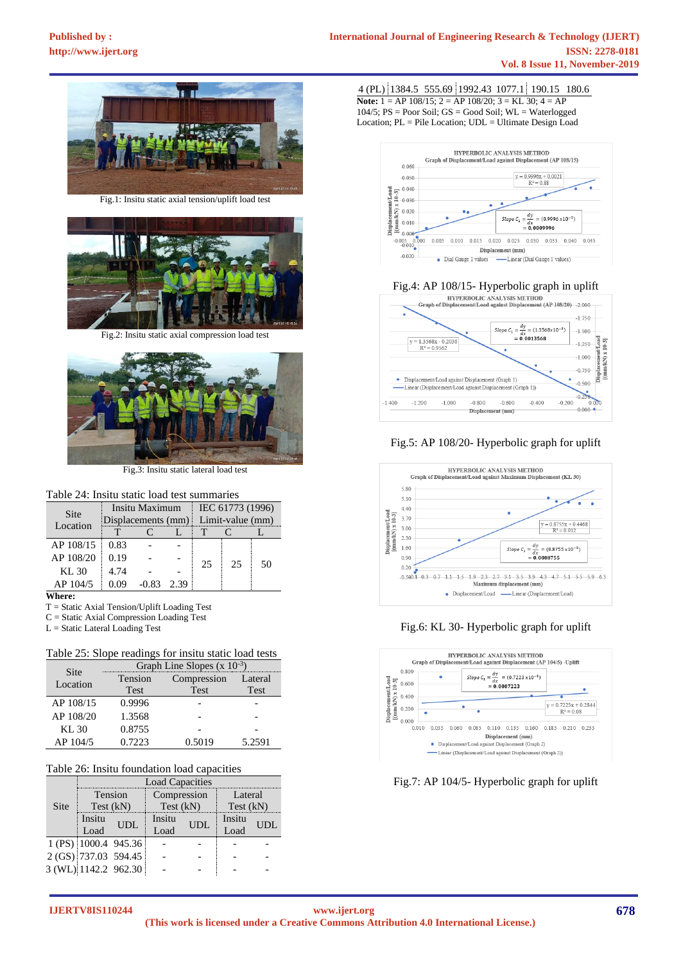

Fig.1: Insitu static axial tension/uplift load test



Fig.2: Insitu static axial compression load test



Fig.3: Insitu static lateral load test

# Table 24: Insitu static load test summaries

| Site<br>Location | Insitu Maximum     |         |      | IEC 61773 (1996) |    |    |
|------------------|--------------------|---------|------|------------------|----|----|
|                  | Displacements (mm) |         |      | Limit-value (mm) |    |    |
|                  |                    |         |      |                  |    |    |
| AP 108/15        | 0.83               |         |      |                  |    |    |
| AP 108/20        | 0.19               |         |      | 25               | 25 | 50 |
| KL 30            | 4.74               |         |      |                  |    |    |
| AP 104/5         | 0.09               | $-0.83$ | 2.39 |                  |    |    |

**Where:**

T = Static Axial Tension/Uplift Loading Test

C = Static Axial Compression Loading Test

L = Static Lateral Loading Test

## Table 25: Slope readings for insitu static load tests

| Site      | Graph Line Slopes $(x 10^{-3})$ |             |         |  |  |  |
|-----------|---------------------------------|-------------|---------|--|--|--|
| Location  | Tension                         | Compression | Lateral |  |  |  |
|           | Test                            | Test        | Test    |  |  |  |
| AP 108/15 | 0.9996                          |             |         |  |  |  |
| AP 108/20 | 1.3568                          |             |         |  |  |  |
| KL30      | 0.8755                          |             |         |  |  |  |
| AP 104/5  | 0.7223                          | 0.5019      | 5.2591  |  |  |  |

## Table 26: Insitu foundation load capacities

|      | <b>Load Capacities</b> |                      |                |     |                |     |  |  |
|------|------------------------|----------------------|----------------|-----|----------------|-----|--|--|
|      | Tension                |                      | Compression    |     | Lateral        |     |  |  |
| Site | Test (kN)              |                      | Test (kN)      |     | Test (kN)      |     |  |  |
|      | Insitu<br>Load         | UDL                  | Insitu<br>Load | UDL | Insitu<br>Load | UDL |  |  |
|      |                        | 1 (PS) 1000.4 945.36 |                |     |                |     |  |  |
|      |                        | 2 (GS) 737.03 594.45 |                |     |                |     |  |  |
|      | 3 (WL) 1142.2 962.30   |                      |                |     |                |     |  |  |

4 (PL) 1384.5 555.69 1992.43 1077.1 190.15 180.6 **Note:** 1 = AP 108/15; 2 = AP 108/20; 3 = KL 30; 4 = AP 104/5;  $PS = Poor$  Soil;  $GS = Good$  Soil;  $WL = Water$ Location; PL = Pile Location; UDL = Ultimate Design Load



# Fig.4: AP 108/15- Hyperbolic graph in uplift<br>
EXPERIOL ANALYSIS METHOD



# Fig.5: AP 108/20- Hyperbolic graph for uplift







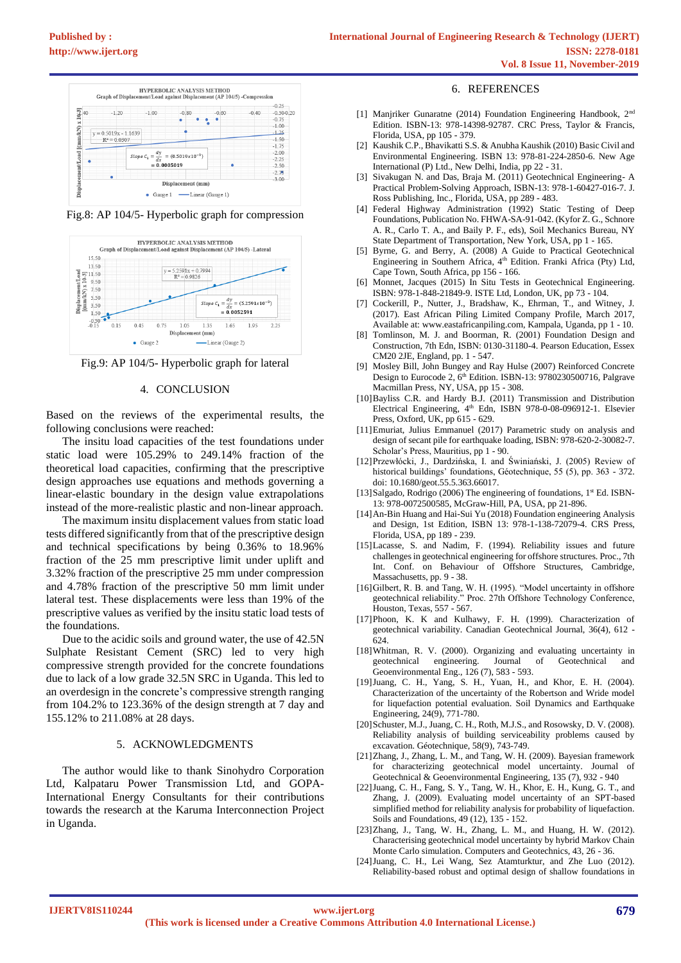

Fig.8: AP 104/5- Hyperbolic graph for compression



Fig.9: AP 104/5- Hyperbolic graph for lateral

#### 4. CONCLUSION

Based on the reviews of the experimental results, the following conclusions were reached:

The insitu load capacities of the test foundations under static load were 105.29% to 249.14% fraction of the theoretical load capacities, confirming that the prescriptive design approaches use equations and methods governing a linear-elastic boundary in the design value extrapolations instead of the more-realistic plastic and non-linear approach.

The maximum insitu displacement values from static load tests differed significantly from that of the prescriptive design and technical specifications by being 0.36% to 18.96% fraction of the 25 mm prescriptive limit under uplift and 3.32% fraction of the prescriptive 25 mm under compression and 4.78% fraction of the prescriptive 50 mm limit under lateral test. These displacements were less than 19% of the prescriptive values as verified by the insitu static load tests of the foundations.

Due to the acidic soils and ground water, the use of 42.5N Sulphate Resistant Cement (SRC) led to very high compressive strength provided for the concrete foundations due to lack of a low grade 32.5N SRC in Uganda. This led to an overdesign in the concrete's compressive strength ranging from 104.2% to 123.36% of the design strength at 7 day and 155.12% to 211.08% at 28 days.

#### 5. ACKNOWLEDGMENTS

The author would like to thank Sinohydro Corporation Ltd, Kalpataru Power Transmission Ltd, and GOPA-International Energy Consultants for their contributions towards the research at the Karuma Interconnection Project in Uganda.

## 6. REFERENCES

- [1] Manjriker Gunaratne (2014) Foundation Engineering Handbook, 2nd Edition. ISBN-13: 978-14398-92787. CRC Press, Taylor & Francis, Florida, USA, pp 105 - 379.
- [2] Kaushik C.P., Bhavikatti S.S. & Anubha Kaushik (2010) Basic Civil and Environmental Engineering. ISBN 13: 978-81-224-2850-6. New Age International (P) Ltd., New Delhi, India, pp 22 - 31.
- [3] Sivakugan N. and Das, Braja M. (2011) Geotechnical Engineering- A Practical Problem-Solving Approach, ISBN-13: 978-1-60427-016-7. J. Ross Publishing, Inc., Florida, USA, pp 289 - 483.
- [4] Federal Highway Administration (1992) Static Testing of Deep Foundations, Publication No. FHWA-SA-91-042. (Kyfor Z. G., Schnore A. R., Carlo T. A., and Baily P. F., eds), Soil Mechanics Bureau, NY State Department of Transportation, New York, USA, pp 1 - 165.
- [5] Byrne, G. and Berry, A. (2008) A Guide to Practical Geotechnical Engineering in Southern Africa, 4<sup>th</sup> Edition. Franki Africa (Pty) Ltd, Cape Town, South Africa, pp 156 - 166.
- [6] Monnet, Jacques (2015) In Situ Tests in Geotechnical Engineering. ISBN: 978-1-848-21849-9. ISTE Ltd, London, UK, pp 73 - 104.
- [7] Cockerill, P., Nutter, J., Bradshaw, K., Ehrman, T., and Witney, J. (2017). East African Piling Limited Company Profile, March 2017, Available at: www.eastafricanpiling.com, Kampala, Uganda, pp 1 - 10.
- [8] Tomlinson, M. J. and Boorman, R. (2001) Foundation Design and Construction, 7th Edn, ISBN: 0130-31180-4. Pearson Education, Essex CM20 2JE, England, pp. 1 - 547.
- [9] Mosley Bill, John Bungey and Ray Hulse (2007) Reinforced Concrete Design to Eurocode 2, 6<sup>th</sup> Edition. ISBN-13: 9780230500716, Palgrave Macmillan Press, NY, USA, pp 15 - 308.
- [10]Bayliss C.R. and Hardy B.J. (2011) Transmission and Distribution Electrical Engineering, 4th Edn, ISBN 978-0-08-096912-1. Elsevier Press, Oxford, UK, pp 615 - 629.
- [11]Emuriat, Julius Emmanuel (2017) Parametric study on analysis and design of secant pile for earthquake loading, ISBN: 978-620-2-30082-7. Scholar's Press, Mauritius, pp 1 - 90.
- [12]Przewłócki, J., Dardzińska, I. and Świniański, J. (2005) Review of historical buildings' foundations, Géotechnique, 55 (5), pp. 363 - 372. doi: 10.1680/geot.55.5.363.66017.
- [13]Salgado, Rodrigo (2006) The engineering of foundations, 1st Ed. ISBN-13: 978-0072500585, McGraw-Hill, PA, USA, pp 21-896.
- [14]An-Bin Huang and Hai-Sui Yu (2018) Foundation engineering Analysis and Design, 1st Edition, ISBN 13: 978-1-138-72079-4. CRS Press, Florida, USA, pp 189 - 239.
- [15]Lacasse, S. and Nadim, F. (1994). Reliability issues and future challenges in geotechnical engineering for offshore structures. Proc., 7th Int. Conf. on Behaviour of Offshore Structures, Cambridge, Massachusetts, pp. 9 - 38.
- [16]Gilbert, R. B. and Tang, W. H. (1995). "Model uncertainty in offshore geotechnical reliability." Proc. 27th Offshore Technology Conference, Houston, Texas, 557 - 567.
- [17]Phoon, K. K and Kulhawy, F. H. (1999). Characterization of geotechnical variability. Canadian Geotechnical Journal, 36(4), 612 - 624.
- [18]Whitman, R. V. (2000). Organizing and evaluating uncertainty in geotechnical engineering. Journal of Geotechnical and Geoenvironmental Eng., 126 (7), 583 - 593.
- [19]Juang, C. H., Yang, S. H., Yuan, H., and Khor, E. H. (2004). Characterization of the uncertainty of the Robertson and Wride model for liquefaction potential evaluation. Soil Dynamics and Earthquake Engineering, 24(9), 771-780.
- [20] Schuster, M.J., Juang, C. H., Roth, M.J.S., and Rosowsky, D. V. (2008). Reliability analysis of building serviceability problems caused by excavation. Géotechnique, 58(9), 743-749.
- [21]Zhang, J., Zhang, L. M., and Tang, W. H. (2009). Bayesian framework for characterizing geotechnical model uncertainty. Journal of Geotechnical & Geoenvironmental Engineering, 135 (7), 932 - 940
- [22]Juang, C. H., Fang, S. Y., Tang, W. H., Khor, E. H., Kung, G. T., and Zhang, J. (2009). Evaluating model uncertainty of an SPT-based simplified method for reliability analysis for probability of liquefaction. Soils and Foundations, 49 (12), 135 - 152.
- [23]Zhang, J., Tang, W. H., Zhang, L. M., and Huang, H. W. (2012). Characterising geotechnical model uncertainty by hybrid Markov Chain Monte Carlo simulation. Computers and Geotechnics, 43, 26 - 36.
- [24]Juang, C. H., Lei Wang, Sez Atamturktur, and Zhe Luo (2012). Reliability-based robust and optimal design of shallow foundations in